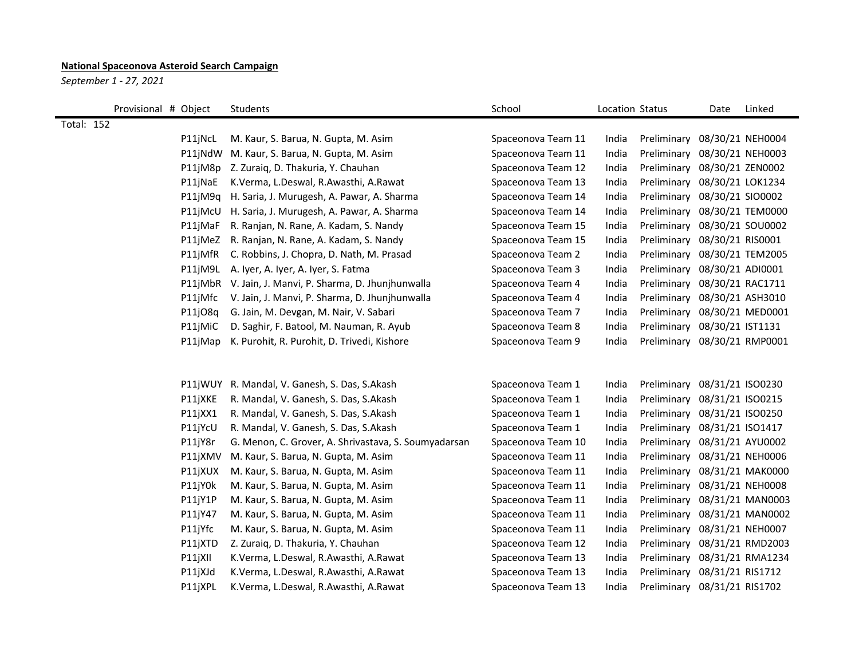## **National Spaceonova Asteroid Search Campaign**

*September 1 - 27, 2021*

|                   | Provisional # Object |         | Students                                             | School             | Location Status |                              | Date             | Linked           |
|-------------------|----------------------|---------|------------------------------------------------------|--------------------|-----------------|------------------------------|------------------|------------------|
| <b>Total: 152</b> |                      |         |                                                      |                    |                 |                              |                  |                  |
|                   |                      | P11jNcL | M. Kaur, S. Barua, N. Gupta, M. Asim                 | Spaceonova Team 11 | India           | Preliminary 08/30/21 NEH0004 |                  |                  |
|                   |                      | P11jNdW | M. Kaur, S. Barua, N. Gupta, M. Asim                 | Spaceonova Team 11 | India           | Preliminary                  | 08/30/21 NEH0003 |                  |
|                   |                      | P11jM8p | Z. Zuraiq, D. Thakuria, Y. Chauhan                   | Spaceonova Team 12 | India           | Preliminary                  | 08/30/21 ZEN0002 |                  |
|                   |                      | P11jNaE | K.Verma, L.Deswal, R.Awasthi, A.Rawat                | Spaceonova Team 13 | India           | Preliminary                  | 08/30/21 LOK1234 |                  |
|                   |                      | P11jM9q | H. Saria, J. Murugesh, A. Pawar, A. Sharma           | Spaceonova Team 14 | India           | Preliminary                  | 08/30/21 SIO0002 |                  |
|                   |                      | P11jMcU | H. Saria, J. Murugesh, A. Pawar, A. Sharma           | Spaceonova Team 14 | India           | Preliminary                  |                  | 08/30/21 TEM0000 |
|                   |                      | P11jMaF | R. Ranjan, N. Rane, A. Kadam, S. Nandy               | Spaceonova Team 15 | India           | Preliminary                  | 08/30/21 SOU0002 |                  |
|                   |                      | P11jMeZ | R. Ranjan, N. Rane, A. Kadam, S. Nandy               | Spaceonova Team 15 | India           | Preliminary 08/30/21 RIS0001 |                  |                  |
|                   |                      | P11jMfR | C. Robbins, J. Chopra, D. Nath, M. Prasad            | Spaceonova Team 2  | India           | Preliminary                  | 08/30/21 TEM2005 |                  |
|                   |                      | P11jM9L | A. Iyer, A. Iyer, A. Iyer, S. Fatma                  | Spaceonova Team 3  | India           | Preliminary                  | 08/30/21 ADI0001 |                  |
|                   |                      | P11jMbR | V. Jain, J. Manvi, P. Sharma, D. Jhunjhunwalla       | Spaceonova Team 4  | India           | Preliminary                  | 08/30/21 RAC1711 |                  |
|                   |                      | P11jMfc | V. Jain, J. Manvi, P. Sharma, D. Jhunjhunwalla       | Spaceonova Team 4  | India           | Preliminary                  | 08/30/21 ASH3010 |                  |
|                   |                      | P11jO8q | G. Jain, M. Devgan, M. Nair, V. Sabari               | Spaceonova Team 7  | India           | Preliminary 08/30/21 MED0001 |                  |                  |
|                   |                      | P11jMiC | D. Saghir, F. Batool, M. Nauman, R. Ayub             | Spaceonova Team 8  | India           | Preliminary                  | 08/30/21 IST1131 |                  |
|                   |                      | P11jMap | K. Purohit, R. Purohit, D. Trivedi, Kishore          | Spaceonova Team 9  | India           | Preliminary                  |                  | 08/30/21 RMP0001 |
|                   |                      |         |                                                      |                    |                 |                              |                  |                  |
|                   |                      |         |                                                      |                    |                 |                              |                  |                  |
|                   |                      | P11jWUY | R. Mandal, V. Ganesh, S. Das, S. Akash               | Spaceonova Team 1  | India           | Preliminary                  | 08/31/21 ISO0230 |                  |
|                   |                      | P11jXKE | R. Mandal, V. Ganesh, S. Das, S.Akash                | Spaceonova Team 1  | India           | Preliminary 08/31/21 ISO0215 |                  |                  |
|                   |                      | P11jXX1 | R. Mandal, V. Ganesh, S. Das, S.Akash                | Spaceonova Team 1  | India           | Preliminary                  | 08/31/21 ISO0250 |                  |
|                   |                      | P11jYcU | R. Mandal, V. Ganesh, S. Das, S.Akash                | Spaceonova Team 1  | India           | Preliminary                  | 08/31/21 ISO1417 |                  |
|                   |                      | P11jY8r | G. Menon, C. Grover, A. Shrivastava, S. Soumyadarsan | Spaceonova Team 10 | India           | Preliminary                  | 08/31/21 AYU0002 |                  |
|                   |                      | P11jXMV | M. Kaur, S. Barua, N. Gupta, M. Asim                 | Spaceonova Team 11 | India           | Preliminary 08/31/21 NEH0006 |                  |                  |
|                   |                      | P11jXUX | M. Kaur, S. Barua, N. Gupta, M. Asim                 | Spaceonova Team 11 | India           | Preliminary                  | 08/31/21 MAK0000 |                  |
|                   |                      | P11jY0k | M. Kaur, S. Barua, N. Gupta, M. Asim                 | Spaceonova Team 11 | India           | Preliminary                  |                  | 08/31/21 NEH0008 |
|                   |                      | P11jY1P | M. Kaur, S. Barua, N. Gupta, M. Asim                 | Spaceonova Team 11 | India           | Preliminary                  |                  | 08/31/21 MAN0003 |
|                   |                      | P11jY47 | M. Kaur, S. Barua, N. Gupta, M. Asim                 | Spaceonova Team 11 | India           | Preliminary                  |                  | 08/31/21 MAN0002 |
|                   |                      | P11jYfc | M. Kaur, S. Barua, N. Gupta, M. Asim                 | Spaceonova Team 11 | India           | Preliminary 08/31/21 NEH0007 |                  |                  |
|                   |                      | P11jXTD | Z. Zuraiq, D. Thakuria, Y. Chauhan                   | Spaceonova Team 12 | India           | Preliminary 08/31/21 RMD2003 |                  |                  |
|                   |                      | P11jXII | K.Verma, L.Deswal, R.Awasthi, A.Rawat                | Spaceonova Team 13 | India           | Preliminary                  |                  | 08/31/21 RMA1234 |
|                   |                      | P11jXJd | K.Verma, L.Deswal, R.Awasthi, A.Rawat                | Spaceonova Team 13 | India           | Preliminary                  | 08/31/21 RIS1712 |                  |
|                   |                      | P11jXPL | K.Verma, L.Deswal, R.Awasthi, A.Rawat                | Spaceonova Team 13 | India           | Preliminary 08/31/21 RIS1702 |                  |                  |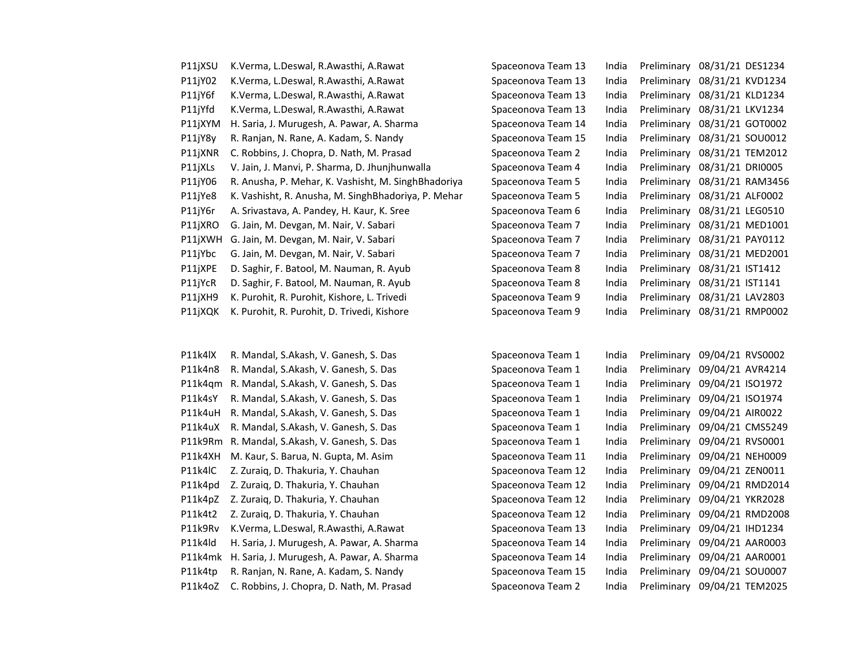| P11jXSU | K.Verma, L.Deswal, R.Awasthi, A.Rawat               | Spaceonova Team 13 | India | Preliminary | 08/31/21 DES1234 |
|---------|-----------------------------------------------------|--------------------|-------|-------------|------------------|
| P11jY02 | K.Verma, L.Deswal, R.Awasthi, A.Rawat               | Spaceonova Team 13 | India | Preliminary | 08/31/21 KVD1234 |
| P11jY6f | K.Verma, L.Deswal, R.Awasthi, A.Rawat               | Spaceonova Team 13 | India | Preliminary | 08/31/21 KLD1234 |
| P11jYfd | K.Verma, L.Deswal, R.Awasthi, A.Rawat               | Spaceonova Team 13 | India | Preliminary | 08/31/21 LKV1234 |
| P11jXYM | H. Saria, J. Murugesh, A. Pawar, A. Sharma          | Spaceonova Team 14 | India | Preliminary | 08/31/21 GOT0002 |
| P11jY8y | R. Ranjan, N. Rane, A. Kadam, S. Nandy              | Spaceonova Team 15 | India | Preliminary | 08/31/21 SOU0012 |
| P11jXNR | C. Robbins, J. Chopra, D. Nath, M. Prasad           | Spaceonova Team 2  | India | Preliminary | 08/31/21 TEM2012 |
| P11jXLs | V. Jain, J. Manvi, P. Sharma, D. Jhunjhunwalla      | Spaceonova Team 4  | India | Preliminary | 08/31/21 DRI0005 |
| P11jY06 | R. Anusha, P. Mehar, K. Vashisht, M. SinghBhadoriya | Spaceonova Team 5  | India | Preliminary | 08/31/21 RAM3456 |
| P11jYe8 | K. Vashisht, R. Anusha, M. SinghBhadoriya, P. Mehar | Spaceonova Team 5  | India | Preliminary | 08/31/21 ALF0002 |
| P11jY6r | A. Srivastava, A. Pandey, H. Kaur, K. Sree          | Spaceonova Team 6  | India | Preliminary | 08/31/21 LEG0510 |
| P11jXRO | G. Jain, M. Devgan, M. Nair, V. Sabari              | Spaceonova Team 7  | India | Preliminary | 08/31/21 MED1001 |
| P11jXWH | G. Jain, M. Devgan, M. Nair, V. Sabari              | Spaceonova Team 7  | India | Preliminary | 08/31/21 PAY0112 |
| P11jYbc | G. Jain, M. Devgan, M. Nair, V. Sabari              | Spaceonova Team 7  | India | Preliminary | 08/31/21 MED2001 |
| P11jXPE | D. Saghir, F. Batool, M. Nauman, R. Ayub            | Spaceonova Team 8  | India | Preliminary | 08/31/21 IST1412 |
| P11jYcR | D. Saghir, F. Batool, M. Nauman, R. Ayub            | Spaceonova Team 8  | India | Preliminary | 08/31/21 IST1141 |
| P11jXH9 | K. Purohit, R. Purohit, Kishore, L. Trivedi         | Spaceonova Team 9  | India | Preliminary | 08/31/21 LAV2803 |
| P11jXQK | K. Purohit, R. Purohit, D. Trivedi, Kishore         | Spaceonova Team 9  | India | Preliminary | 08/31/21 RMP0002 |

| P11k4IX | R. Mandal, S.Akash, V. Ganesh, S. Das     |
|---------|-------------------------------------------|
| P11k4n8 | R. Mandal, S.Akash, V. Ganesh, S. Das     |
| P11k4gm | R. Mandal, S.Akash, V. Ganesh, S. Das     |
| P11k4sY | R. Mandal, S.Akash, V. Ganesh, S. Das     |
| P11k4uH | R. Mandal, S.Akash, V. Ganesh, S. Das     |
| P11k4uX | R. Mandal, S.Akash, V. Ganesh, S. Das     |
| P11k9Rm | R. Mandal, S.Akash, V. Ganesh, S. Das     |
| P11k4XH | M. Kaur, S. Barua, N. Gupta, M. Asim      |
| P11k4IC | Z. Zuraiq, D. Thakuria, Y. Chauhan        |
| P11k4pd | Z. Zuraig, D. Thakuria, Y. Chauhan        |
| P11k4pZ | Z. Zuraiq, D. Thakuria, Y. Chauhan        |
| P11k4t2 | Z. Zuraiq, D. Thakuria, Y. Chauhan        |
| P11k9Rv | K.Verma, L.Deswal, R.Awasthi, A.Rawat     |
| P11k4ld | H. Saria, J. Murugesh, A. Pawar, A. Sharm |
| P11k4mk | H. Saria, J. Murugesh, A. Pawar, A. Sharm |
| P11k4tp | R. Ranjan, N. Rane, A. Kadam, S. Nandy    |
| P11k4oZ | C. Robbins, J. Chopra, D. Nath, M. Prasad |
|         |                                           |

| K.Verma, L.Deswal, R.Awasthi, A.Rawat               | Spaceonova Team 13 | India | Preliminary | 08/31/21 DES1234                                                                       |
|-----------------------------------------------------|--------------------|-------|-------------|----------------------------------------------------------------------------------------|
| K.Verma, L.Deswal, R.Awasthi, A.Rawat               | Spaceonova Team 13 | India | Preliminary | 08/31/21 KVD1234                                                                       |
| K.Verma, L.Deswal, R.Awasthi, A.Rawat               | Spaceonova Team 13 | India | Preliminary | 08/31/21 KLD1234                                                                       |
| K.Verma, L.Deswal, R.Awasthi, A.Rawat               | Spaceonova Team 13 | India | Preliminary | 08/31/21 LKV1234                                                                       |
| H. Saria, J. Murugesh, A. Pawar, A. Sharma          | Spaceonova Team 14 | India |             | 08/31/21 GOT0002                                                                       |
| R. Ranjan, N. Rane, A. Kadam, S. Nandy              | Spaceonova Team 15 | India | Preliminary | 08/31/21 SOU0012                                                                       |
| C. Robbins, J. Chopra, D. Nath, M. Prasad           | Spaceonova Team 2  | India | Preliminary | 08/31/21 TEM2012                                                                       |
| V. Jain, J. Manvi, P. Sharma, D. Jhunjhunwalla      | Spaceonova Team 4  | India | Preliminary | 08/31/21 DRI0005                                                                       |
| R. Anusha, P. Mehar, K. Vashisht, M. SinghBhadoriya | Spaceonova Team 5  | India | Preliminary | 08/31/21 RAM3456                                                                       |
| K. Vashisht, R. Anusha, M. SinghBhadoriya, P. Mehar | Spaceonova Team 5  | India |             | 08/31/21 ALF0002                                                                       |
| A. Srivastava, A. Pandey, H. Kaur, K. Sree          | Spaceonova Team 6  | India |             | 08/31/21 LEG0510                                                                       |
| G. Jain, M. Devgan, M. Nair, V. Sabari              | Spaceonova Team 7  | India |             | 08/31/21 MED1001                                                                       |
| G. Jain, M. Devgan, M. Nair, V. Sabari              | Spaceonova Team 7  | India | Preliminary | 08/31/21 PAY0112                                                                       |
| G. Jain, M. Devgan, M. Nair, V. Sabari              | Spaceonova Team 7  | India | Preliminary | 08/31/21 MED2001                                                                       |
| D. Saghir, F. Batool, M. Nauman, R. Ayub            | Spaceonova Team 8  | India |             | 08/31/21 IST1412                                                                       |
| D. Saghir, F. Batool, M. Nauman, R. Ayub            | Spaceonova Team 8  | India | Preliminary | 08/31/21 IST1141                                                                       |
| K. Purohit, R. Purohit, Kishore, L. Trivedi         | Spaceonova Team 9  | India | Preliminary | 08/31/21 LAV2803                                                                       |
| K. Purohit, R. Purohit, D. Trivedi, Kishore         | Spaceonova Team 9  | India |             | 08/31/21 RMP0002                                                                       |
|                                                     |                    |       |             | Preliminary<br>Preliminary<br>Preliminary<br>Preliminary<br>Preliminary<br>Preliminary |

| P11k4lX | R. Mandal, S.Akash, V. Ganesh, S. Das      | Spaceonova Team 1  | India | Preliminary | 09/04/21 RVS0002             |
|---------|--------------------------------------------|--------------------|-------|-------------|------------------------------|
| P11k4n8 | R. Mandal, S.Akash, V. Ganesh, S. Das      | Spaceonova Team 1  | India | Preliminary | 09/04/21 AVR4214             |
| P11k4gm | R. Mandal, S.Akash, V. Ganesh, S. Das      | Spaceonova Team 1  | India | Preliminary | 09/04/21 ISO1972             |
| P11k4sY | R. Mandal, S.Akash, V. Ganesh, S. Das      | Spaceonova Team 1  | India | Preliminary | 09/04/21 ISO1974             |
| P11k4uH | R. Mandal, S.Akash, V. Ganesh, S. Das      | Spaceonova Team 1  | India | Preliminary | 09/04/21 AIR0022             |
| P11k4uX | R. Mandal, S.Akash, V. Ganesh, S. Das      | Spaceonova Team 1  | India | Preliminary | 09/04/21 CMS5249             |
| P11k9Rm | R. Mandal, S.Akash, V. Ganesh, S. Das      | Spaceonova Team 1  | India | Preliminary | 09/04/21 RVS0001             |
| P11k4XH | M. Kaur, S. Barua, N. Gupta, M. Asim       | Spaceonova Team 11 | India |             | Preliminary 09/04/21 NEH0009 |
| P11k4lC | Z. Zuraig, D. Thakuria, Y. Chauhan         | Spaceonova Team 12 | India |             | Preliminary 09/04/21 ZEN0011 |
| P11k4pd | Z. Zuraig, D. Thakuria, Y. Chauhan         | Spaceonova Team 12 | India | Preliminary | 09/04/21 RMD2014             |
| P11k4pZ | Z. Zuraig, D. Thakuria, Y. Chauhan         | Spaceonova Team 12 | India |             | Preliminary 09/04/21 YKR2028 |
| P11k4t2 | Z. Zuraiq, D. Thakuria, Y. Chauhan         | Spaceonova Team 12 | India |             | Preliminary 09/04/21 RMD2008 |
| P11k9Rv | K.Verma, L.Deswal, R.Awasthi, A.Rawat      | Spaceonova Team 13 | India |             | Preliminary 09/04/21 IHD1234 |
| P11k4ld | H. Saria, J. Murugesh, A. Pawar, A. Sharma | Spaceonova Team 14 | India |             | Preliminary 09/04/21 AAR0003 |
| P11k4mk | H. Saria, J. Murugesh, A. Pawar, A. Sharma | Spaceonova Team 14 | India | Preliminary | 09/04/21 AAR0001             |
| P11k4tp | R. Ranjan, N. Rane, A. Kadam, S. Nandy     | Spaceonova Team 15 | India | Preliminary | 09/04/21 SOU0007             |
| P11k4oZ | C. Robbins, J. Chopra, D. Nath, M. Prasad  | Spaceonova Team 2  | India |             | Preliminary 09/04/21 TEM2025 |
|         |                                            |                    |       |             |                              |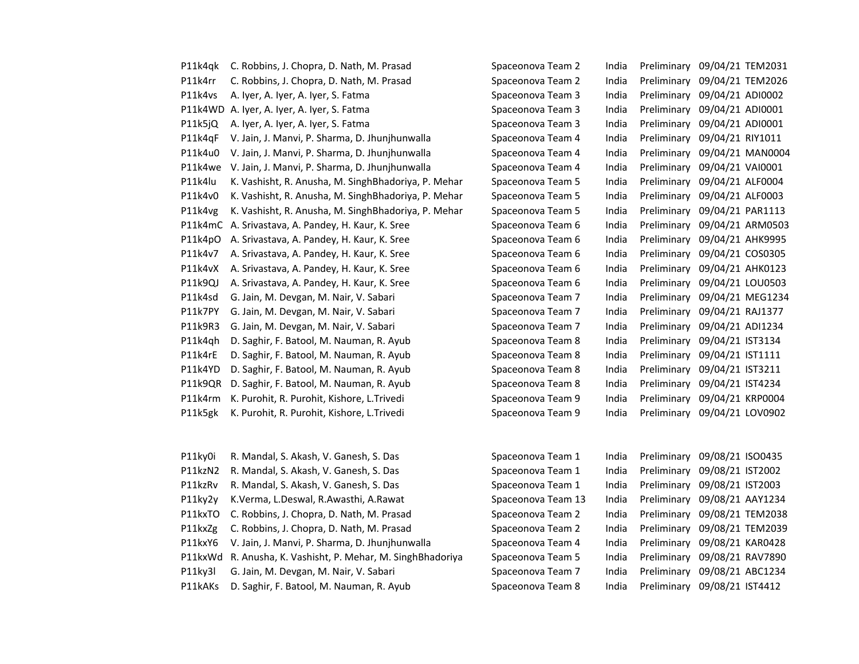| P11k4qk | C. Robbins, J. Chopra, D. Nath, M. Prasad           | Spaceonova Team 2  | India | Preliminary | 09/04/21 TEM2031             |
|---------|-----------------------------------------------------|--------------------|-------|-------------|------------------------------|
| P11k4rr | C. Robbins, J. Chopra, D. Nath, M. Prasad           | Spaceonova Team 2  | India | Preliminary | 09/04/21 TEM2026             |
| P11k4vs | A. Iyer, A. Iyer, A. Iyer, S. Fatma                 | Spaceonova Team 3  | India | Preliminary | 09/04/21 ADI0002             |
|         | P11k4WD A. Iyer, A. Iyer, A. Iyer, S. Fatma         | Spaceonova Team 3  | India | Preliminary | 09/04/21 ADI0001             |
| P11k5jQ | A. Iyer, A. Iyer, A. Iyer, S. Fatma                 | Spaceonova Team 3  | India | Preliminary | 09/04/21 ADI0001             |
| P11k4qF | V. Jain, J. Manvi, P. Sharma, D. Jhunjhunwalla      | Spaceonova Team 4  | India | Preliminary | 09/04/21 RIY1011             |
| P11k4u0 | V. Jain, J. Manvi, P. Sharma, D. Jhunjhunwalla      | Spaceonova Team 4  | India | Preliminary | 09/04/21 MAN0004             |
| P11k4we | V. Jain, J. Manvi, P. Sharma, D. Jhunjhunwalla      | Spaceonova Team 4  | India | Preliminary | 09/04/21 VAI0001             |
| P11k4lu | K. Vashisht, R. Anusha, M. SinghBhadoriya, P. Mehar | Spaceonova Team 5  | India | Preliminary | 09/04/21 ALF0004             |
| P11k4v0 | K. Vashisht, R. Anusha, M. SinghBhadoriya, P. Mehar | Spaceonova Team 5  | India | Preliminary | 09/04/21 ALF0003             |
| P11k4vg | K. Vashisht, R. Anusha, M. SinghBhadoriya, P. Mehar | Spaceonova Team 5  | India | Preliminary | 09/04/21 PAR1113             |
|         | P11k4mC A. Srivastava, A. Pandey, H. Kaur, K. Sree  | Spaceonova Team 6  | India | Preliminary | 09/04/21 ARM0503             |
| P11k4pO | A. Srivastava, A. Pandey, H. Kaur, K. Sree          | Spaceonova Team 6  | India | Preliminary | 09/04/21 AHK9995             |
| P11k4v7 | A. Srivastava, A. Pandey, H. Kaur, K. Sree          | Spaceonova Team 6  | India | Preliminary | 09/04/21 COS0305             |
| P11k4vX | A. Srivastava, A. Pandey, H. Kaur, K. Sree          | Spaceonova Team 6  | India | Preliminary | 09/04/21 AHK0123             |
| P11k9QJ | A. Srivastava, A. Pandey, H. Kaur, K. Sree          | Spaceonova Team 6  | India | Preliminary | 09/04/21 LOU0503             |
| P11k4sd | G. Jain, M. Devgan, M. Nair, V. Sabari              | Spaceonova Team 7  | India | Preliminary | 09/04/21 MEG1234             |
| P11k7PY | G. Jain, M. Devgan, M. Nair, V. Sabari              | Spaceonova Team 7  | India | Preliminary | 09/04/21 RAJ1377             |
| P11k9R3 | G. Jain, M. Devgan, M. Nair, V. Sabari              | Spaceonova Team 7  | India | Preliminary | 09/04/21 ADI1234             |
| P11k4qh | D. Saghir, F. Batool, M. Nauman, R. Ayub            | Spaceonova Team 8  | India | Preliminary | 09/04/21 IST3134             |
| P11k4rE | D. Saghir, F. Batool, M. Nauman, R. Ayub            | Spaceonova Team 8  | India | Preliminary | 09/04/21 IST1111             |
| P11k4YD | D. Saghir, F. Batool, M. Nauman, R. Ayub            | Spaceonova Team 8  | India | Preliminary | 09/04/21 IST3211             |
| P11k9QR | D. Saghir, F. Batool, M. Nauman, R. Ayub            | Spaceonova Team 8  | India | Preliminary | 09/04/21 IST4234             |
| P11k4rm | K. Purohit, R. Purohit, Kishore, L. Trivedi         | Spaceonova Team 9  | India | Preliminary | 09/04/21 KRP0004             |
| P11k5gk | K. Purohit, R. Purohit, Kishore, L. Trivedi         | Spaceonova Team 9  | India | Preliminary | 09/04/21 LOV0902             |
|         |                                                     |                    |       |             |                              |
| P11ky0i | R. Mandal, S. Akash, V. Ganesh, S. Das              | Spaceonova Team 1  | India | Preliminary | 09/08/21 ISO0435             |
| P11kzN2 | R. Mandal, S. Akash, V. Ganesh, S. Das              | Spaceonova Team 1  | India | Preliminary | 09/08/21 IST2002             |
| P11kzRv | R. Mandal, S. Akash, V. Ganesh, S. Das              | Spaceonova Team 1  | India | Preliminary | 09/08/21 IST2003             |
| P11ky2y | K.Verma, L.Deswal, R.Awasthi, A.Rawat               | Spaceonova Team 13 | India | Preliminary | 09/08/21 AAY1234             |
| P11kxTO | C. Robbins, J. Chopra, D. Nath, M. Prasad           | Spaceonova Team 2  | India | Preliminary | 09/08/21 TEM2038             |
| P11kxZg | C. Robbins, J. Chopra, D. Nath, M. Prasad           | Spaceonova Team 2  | India | Preliminary | 09/08/21 TEM2039             |
| P11kxY6 | V. Jain, J. Manvi, P. Sharma, D. Jhunjhunwalla      | Spaceonova Team 4  | India | Preliminary | 09/08/21 KAR0428             |
| P11kxWd | R. Anusha, K. Vashisht, P. Mehar, M. SinghBhadoriya | Spaceonova Team 5  | India | Preliminary | 09/08/21 RAV7890             |
| P11ky3l | G. Jain, M. Devgan, M. Nair, V. Sabari              | Spaceonova Team 7  | India | Preliminary | 09/08/21 ABC1234             |
| P11kAKs | D. Saghir, F. Batool, M. Nauman, R. Ayub            | Spaceonova Team 8  | India |             | Preliminary 09/08/21 IST4412 |
|         |                                                     |                    |       |             |                              |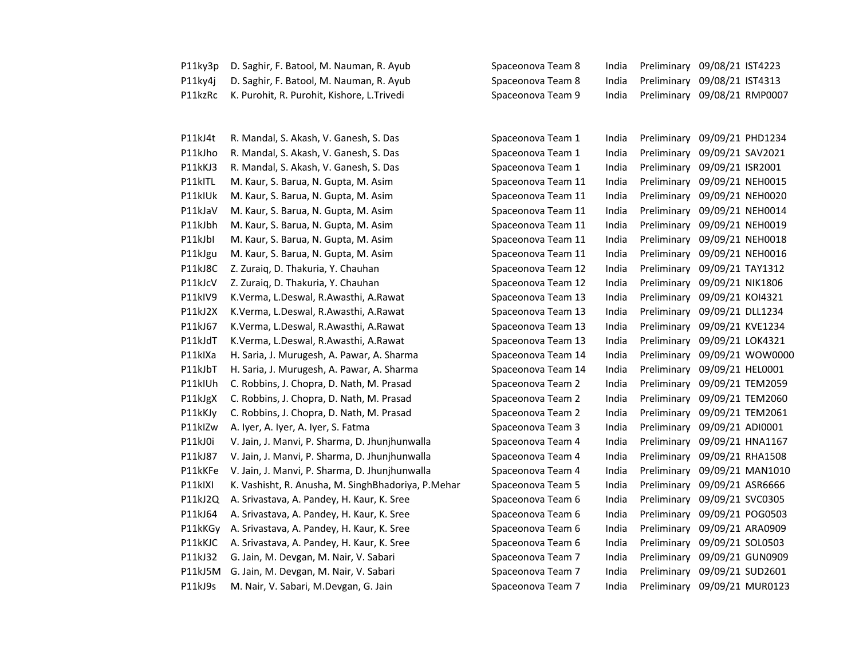| P11ky3p | D. Saghir, F. Batool, M. Nauman, R. Ayub           | Spaceonova Team 8  | India | Preliminary | 09/08/21 IST4223             |
|---------|----------------------------------------------------|--------------------|-------|-------------|------------------------------|
| P11ky4j | D. Saghir, F. Batool, M. Nauman, R. Ayub           | Spaceonova Team 8  | India | Preliminary | 09/08/21 IST4313             |
| P11kzRc | K. Purohit, R. Purohit, Kishore, L. Trivedi        | Spaceonova Team 9  | India |             | Preliminary 09/08/21 RMP0007 |
|         |                                                    |                    |       |             |                              |
| P11kJ4t | R. Mandal, S. Akash, V. Ganesh, S. Das             | Spaceonova Team 1  | India | Preliminary | 09/09/21 PHD1234             |
| P11kJho | R. Mandal, S. Akash, V. Ganesh, S. Das             | Spaceonova Team 1  | India | Preliminary | 09/09/21 SAV2021             |
| P11kKJ3 | R. Mandal, S. Akash, V. Ganesh, S. Das             | Spaceonova Team 1  | India | Preliminary | 09/09/21 ISR2001             |
| P11kITL | M. Kaur, S. Barua, N. Gupta, M. Asim               | Spaceonova Team 11 | India | Preliminary | 09/09/21 NEH0015             |
| P11kIUk | M. Kaur, S. Barua, N. Gupta, M. Asim               | Spaceonova Team 11 | India | Preliminary | 09/09/21 NEH0020             |
| P11kJaV | M. Kaur, S. Barua, N. Gupta, M. Asim               | Spaceonova Team 11 | India | Preliminary | 09/09/21 NEH0014             |
| P11kJbh | M. Kaur, S. Barua, N. Gupta, M. Asim               | Spaceonova Team 11 | India | Preliminary | 09/09/21 NEH0019             |
| P11kJbI | M. Kaur, S. Barua, N. Gupta, M. Asim               | Spaceonova Team 11 | India | Preliminary | 09/09/21 NEH0018             |
| P11kJgu | M. Kaur, S. Barua, N. Gupta, M. Asim               | Spaceonova Team 11 | India | Preliminary | 09/09/21 NEH0016             |
| P11kJ8C | Z. Zuraiq, D. Thakuria, Y. Chauhan                 | Spaceonova Team 12 | India | Preliminary | 09/09/21 TAY1312             |
| P11kJcV | Z. Zuraiq, D. Thakuria, Y. Chauhan                 | Spaceonova Team 12 | India | Preliminary | 09/09/21 NIK1806             |
| P11kIV9 | K.Verma, L.Deswal, R.Awasthi, A.Rawat              | Spaceonova Team 13 | India | Preliminary | 09/09/21 KOI4321             |
| P11kJ2X | K.Verma, L.Deswal, R.Awasthi, A.Rawat              | Spaceonova Team 13 | India | Preliminary | 09/09/21 DLL1234             |
| P11kJ67 | K.Verma, L.Deswal, R.Awasthi, A.Rawat              | Spaceonova Team 13 | India | Preliminary | 09/09/21 KVE1234             |
| P11kJdT | K.Verma, L.Deswal, R.Awasthi, A.Rawat              | Spaceonova Team 13 | India | Preliminary | 09/09/21 LOK4321             |
| P11kIXa | H. Saria, J. Murugesh, A. Pawar, A. Sharma         | Spaceonova Team 14 | India | Preliminary | 09/09/21 WOW0000             |
| P11kJbT | H. Saria, J. Murugesh, A. Pawar, A. Sharma         | Spaceonova Team 14 | India | Preliminary | 09/09/21 HEL0001             |
| P11kIUh | C. Robbins, J. Chopra, D. Nath, M. Prasad          | Spaceonova Team 2  | India | Preliminary | 09/09/21 TEM2059             |
| P11kJgX | C. Robbins, J. Chopra, D. Nath, M. Prasad          | Spaceonova Team 2  | India | Preliminary | 09/09/21 TEM2060             |
| P11kKJy | C. Robbins, J. Chopra, D. Nath, M. Prasad          | Spaceonova Team 2  | India | Preliminary | 09/09/21 TEM2061             |
| P11kIZw | A. Iyer, A. Iyer, A. Iyer, S. Fatma                | Spaceonova Team 3  | India | Preliminary | 09/09/21 ADI0001             |
| P11kJ0i | V. Jain, J. Manvi, P. Sharma, D. Jhunjhunwalla     | Spaceonova Team 4  | India | Preliminary | 09/09/21 HNA1167             |
| P11kJ87 | V. Jain, J. Manvi, P. Sharma, D. Jhunjhunwalla     | Spaceonova Team 4  | India | Preliminary | 09/09/21 RHA1508             |
| P11kKFe | V. Jain, J. Manvi, P. Sharma, D. Jhunjhunwalla     | Spaceonova Team 4  | India | Preliminary | 09/09/21 MAN1010             |
| P11kIXI | K. Vashisht, R. Anusha, M. SinghBhadoriya, P.Mehar | Spaceonova Team 5  | India | Preliminary | 09/09/21 ASR6666             |
| P11kJ2Q | A. Srivastava, A. Pandey, H. Kaur, K. Sree         | Spaceonova Team 6  | India | Preliminary | 09/09/21 SVC0305             |
| P11kJ64 | A. Srivastava, A. Pandey, H. Kaur, K. Sree         | Spaceonova Team 6  | India | Preliminary | 09/09/21 POG0503             |
| P11kKGy | A. Srivastava, A. Pandey, H. Kaur, K. Sree         | Spaceonova Team 6  | India | Preliminary | 09/09/21 ARA0909             |
| P11kKJC | A. Srivastava, A. Pandey, H. Kaur, K. Sree         | Spaceonova Team 6  | India | Preliminary | 09/09/21 SOL0503             |
| P11kJ32 | G. Jain, M. Devgan, M. Nair, V. Sabari             | Spaceonova Team 7  | India | Preliminary | 09/09/21 GUN0909             |
| P11kJ5M | G. Jain, M. Devgan, M. Nair, V. Sabari             | Spaceonova Team 7  | India | Preliminary | 09/09/21 SUD2601             |
| P11kJ9s | M. Nair, V. Sabari, M.Devgan, G. Jain              | Spaceonova Team 7  | India | Preliminary | 09/09/21 MUR0123             |